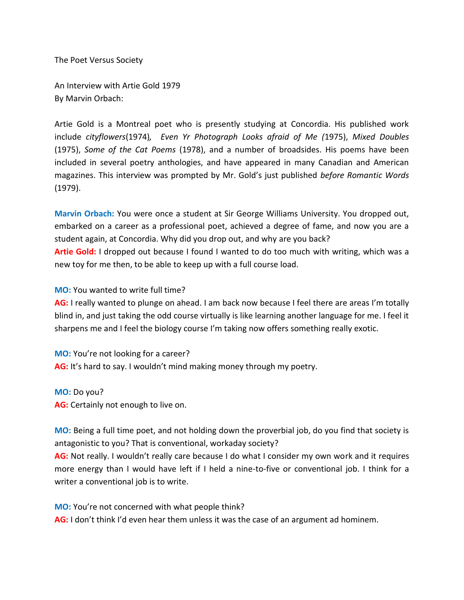The Poet Versus Society

An Interview with Artie Gold 1979 By Marvin Orbach:

Artie Gold is a Montreal poet who is presently studying at Concordia. His published work include *cityflowers*(1974)*, Even Yr Photograph Looks afraid of Me (*1975), *Mixed Doubles*  (1975), *Some of the Cat Poems* (1978), and a number of broadsides. His poems have been included in several poetry anthologies, and have appeared in many Canadian and American magazines. This interview was prompted by Mr. Gold's just published *before Romantic Words*  (1979).

**Marvin Orbach:** You were once a student at Sir George Williams University. You dropped out, embarked on a career as a professional poet, achieved a degree of fame, and now you are a student again, at Concordia. Why did you drop out, and why are you back? **Artie Gold:** I dropped out because I found I wanted to do too much with writing, which was a new toy for me then, to be able to keep up with a full course load.

**MO:** You wanted to write full time?

**AG:** I really wanted to plunge on ahead. I am back now because I feel there are areas I'm totally blind in, and just taking the odd course virtually is like learning another language for me. I feel it sharpens me and I feel the biology course I'm taking now offers something really exotic.

**MO:** You're not looking for a career? **AG:** It's hard to say. I wouldn't mind making money through my poetry.

**MO:** Do you? **AG:** Certainly not enough to live on.

**MO:** Being a full time poet, and not holding down the proverbial job, do you find that society is antagonistic to you? That is conventional, workaday society?

**AG:** Not really. I wouldn't really care because I do what I consider my own work and it requires more energy than I would have left if I held a nine-to-five or conventional job. I think for a writer a conventional job is to write.

**MO:** You're not concerned with what people think? **AG:** I don't think I'd even hear them unless it was the case of an argument ad hominem.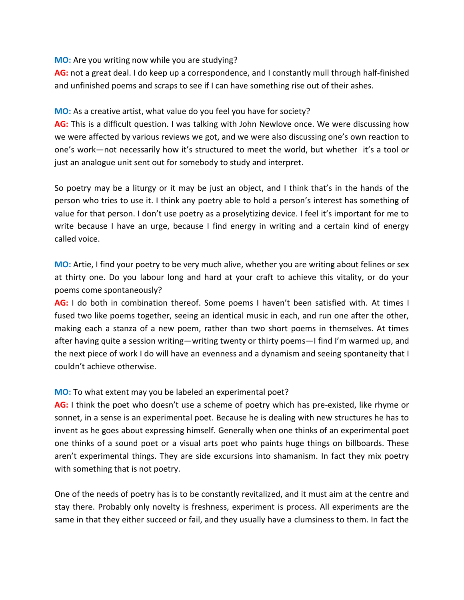## **MO:** Are you writing now while you are studying?

**AG:** not a great deal. I do keep up a correspondence, and I constantly mull through half-finished and unfinished poems and scraps to see if I can have something rise out of their ashes.

# **MO:** As a creative artist, what value do you feel you have for society?

AG: This is a difficult question. I was talking with John Newlove once. We were discussing how we were affected by various reviews we got, and we were also discussing one's own reaction to one's work—not necessarily how it's structured to meet the world, but whether it's a tool or just an analogue unit sent out for somebody to study and interpret.

So poetry may be a liturgy or it may be just an object, and I think that's in the hands of the person who tries to use it. I think any poetry able to hold a person's interest has something of value for that person. I don't use poetry as a proselytizing device. I feel it's important for me to write because I have an urge, because I find energy in writing and a certain kind of energy called voice.

**MO:** Artie, I find your poetry to be very much alive, whether you are writing about felines or sex at thirty one. Do you labour long and hard at your craft to achieve this vitality, or do your poems come spontaneously?

**AG:** I do both in combination thereof. Some poems I haven't been satisfied with. At times I fused two like poems together, seeing an identical music in each, and run one after the other, making each a stanza of a new poem, rather than two short poems in themselves. At times after having quite a session writing—writing twenty or thirty poems—I find I'm warmed up, and the next piece of work I do will have an evenness and a dynamism and seeing spontaneity that I couldn't achieve otherwise.

# **MO:** To what extent may you be labeled an experimental poet?

**AG:** I think the poet who doesn't use a scheme of poetry which has pre-existed, like rhyme or sonnet, in a sense is an experimental poet. Because he is dealing with new structures he has to invent as he goes about expressing himself. Generally when one thinks of an experimental poet one thinks of a sound poet or a visual arts poet who paints huge things on billboards. These aren't experimental things. They are side excursions into shamanism. In fact they mix poetry with something that is not poetry.

One of the needs of poetry has is to be constantly revitalized, and it must aim at the centre and stay there. Probably only novelty is freshness, experiment is process. All experiments are the same in that they either succeed or fail, and they usually have a clumsiness to them. In fact the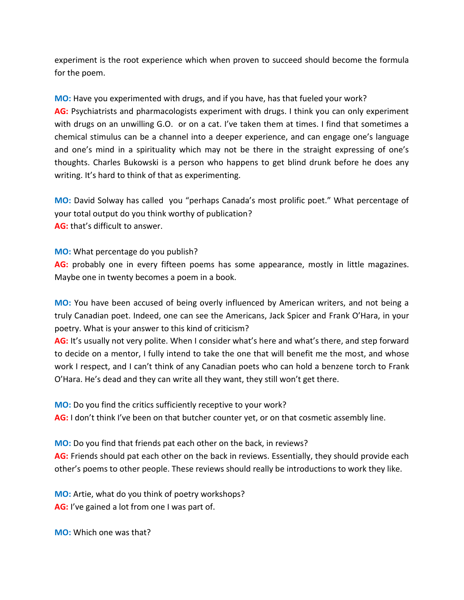experiment is the root experience which when proven to succeed should become the formula for the poem.

**MO:** Have you experimented with drugs, and if you have, has that fueled your work?

**AG:** Psychiatrists and pharmacologists experiment with drugs. I think you can only experiment with drugs on an unwilling G.O. or on a cat. I've taken them at times. I find that sometimes a chemical stimulus can be a channel into a deeper experience, and can engage one's language and one's mind in a spirituality which may not be there in the straight expressing of one's thoughts. Charles Bukowski is a person who happens to get blind drunk before he does any writing. It's hard to think of that as experimenting.

**MO:** David Solway has called you "perhaps Canada's most prolific poet." What percentage of your total output do you think worthy of publication? **AG:** that's difficult to answer.

**MO:** What percentage do you publish?

**AG:** probably one in every fifteen poems has some appearance, mostly in little magazines. Maybe one in twenty becomes a poem in a book.

**MO:** You have been accused of being overly influenced by American writers, and not being a truly Canadian poet. Indeed, one can see the Americans, Jack Spicer and Frank O'Hara, in your poetry. What is your answer to this kind of criticism?

**AG:** It's usually not very polite. When I consider what's here and what's there, and step forward to decide on a mentor, I fully intend to take the one that will benefit me the most, and whose work I respect, and I can't think of any Canadian poets who can hold a benzene torch to Frank O'Hara. He's dead and they can write all they want, they still won't get there.

**MO:** Do you find the critics sufficiently receptive to your work? **AG:** I don't think I've been on that butcher counter yet, or on that cosmetic assembly line.

**MO:** Do you find that friends pat each other on the back, in reviews?

**AG:** Friends should pat each other on the back in reviews. Essentially, they should provide each other's poems to other people. These reviews should really be introductions to work they like.

**MO:** Artie, what do you think of poetry workshops? **AG:** I've gained a lot from one I was part of.

**MO:** Which one was that?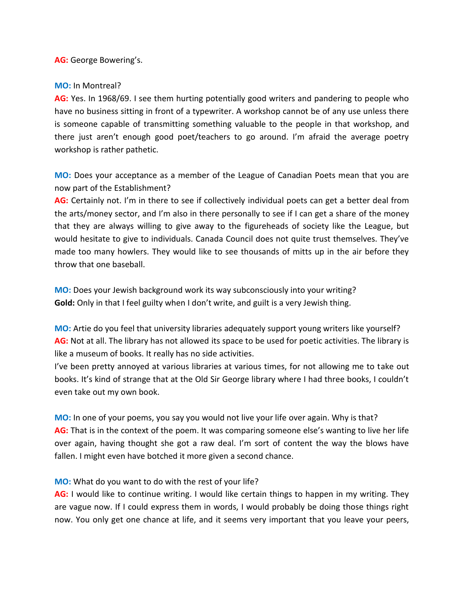**AG:** George Bowering's.

### **MO:** In Montreal?

**AG:** Yes. In 1968/69. I see them hurting potentially good writers and pandering to people who have no business sitting in front of a typewriter. A workshop cannot be of any use unless there is someone capable of transmitting something valuable to the people in that workshop, and there just aren't enough good poet/teachers to go around. I'm afraid the average poetry workshop is rather pathetic.

**MO:** Does your acceptance as a member of the League of Canadian Poets mean that you are now part of the Establishment?

**AG:** Certainly not. I'm in there to see if collectively individual poets can get a better deal from the arts/money sector, and I'm also in there personally to see if I can get a share of the money that they are always willing to give away to the figureheads of society like the League, but would hesitate to give to individuals. Canada Council does not quite trust themselves. They've made too many howlers. They would like to see thousands of mitts up in the air before they throw that one baseball.

**MO:** Does your Jewish background work its way subconsciously into your writing? **Gold:** Only in that I feel guilty when I don't write, and guilt is a very Jewish thing.

**MO:** Artie do you feel that university libraries adequately support young writers like yourself? **AG:** Not at all. The library has not allowed its space to be used for poetic activities. The library is like a museum of books. It really has no side activities.

I've been pretty annoyed at various libraries at various times, for not allowing me to take out books. It's kind of strange that at the Old Sir George library where I had three books, I couldn't even take out my own book.

**MO:** In one of your poems, you say you would not live your life over again. Why is that? **AG:** That is in the context of the poem. It was comparing someone else's wanting to live her life over again, having thought she got a raw deal. I'm sort of content the way the blows have fallen. I might even have botched it more given a second chance.

## **MO:** What do you want to do with the rest of your life?

**AG:** I would like to continue writing. I would like certain things to happen in my writing. They are vague now. If I could express them in words, I would probably be doing those things right now. You only get one chance at life, and it seems very important that you leave your peers,